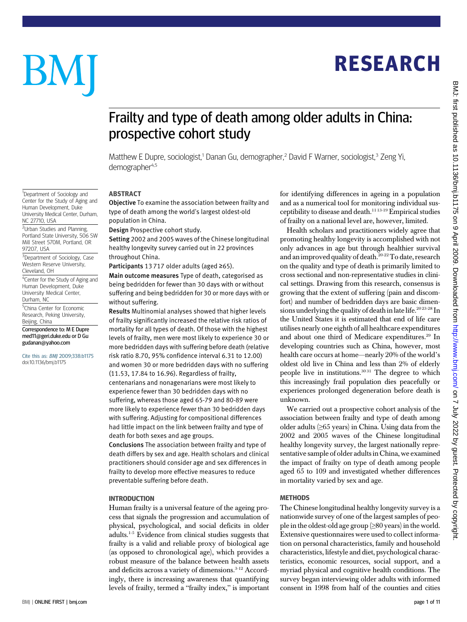# **RESEARCH** RESEARCH

# BM

<sup>1</sup>Department of Sociology and Center for the Study of Aging and Human Development, Duke University Medical Center, Durham,

<sup>2</sup>Urban Studies and Planning, Portland State University, 506 SW Mill Street 570M, Portland, OR

<sup>3</sup>Department of Sociology, Case Western Reserve University,

<sup>4</sup> Center for the Study of Aging and Human Development, Duke University Medical Center,

5 China Center for Economic Research, Peking University,

Correspondence to: M E Dupre med11@geri.duke.edu or D Gu gudanan@yahoo.com

Cite this as: BMJ 2009;338:b1175 doi:10.1136/bmj.b1175

NC 27710, USA

97207, USA

Cleveland, OH

Durham, NC

Beijing, China

## Frailty and type of death among older adults in China: prospective cohort study

Matthew E Dupre, sociologist,<sup>1</sup> Danan Gu, demographer,<sup>2</sup> David F Warner, sociologist,<sup>3</sup> Zeng Yi, demographer<sup>4,5</sup>

## **ABSTRACT**

Objective To examine the association between frailty and type of death among the world's largest oldest-old population in China.

Design Prospective cohort study.

Setting 2002 and 2005 waves of the Chinese longitudinal healthy longevity survey carried out in 22 provinces throughout China.

Participants 13 717 older adults (aged ≥65).

Main outcome measures Type of death, categorised as being bedridden for fewer than 30 days with or without suffering and being bedridden for 30 or more days with or without suffering.

Results Multinomial analyses showed that higher levels of frailty significantly increased the relative risk ratios of mortality for all types of death. Of those with the highest levels of frailty, men were most likely to experience 30 or more bedridden days with suffering before death (relative risk ratio 8.70, 95% confidence interval 6.31 to 12.00) and women 30 or more bedridden days with no suffering (11.53, 17.84 to 16.96). Regardless of frailty, centenarians and nonagenarians were most likely to experience fewer than 30 bedridden days with no suffering, whereas those aged 65-79 and 80-89 were more likely to experience fewer than 30 bedridden days with suffering. Adjusting for compositional differences had little impact on the link between frailty and type of death for both sexes and age groups.

Conclusions The association between frailty and type of death differs by sex and age. Health scholars and clinical practitioners should consider age and sex differences in frailty to develop more effective measures to reduce preventable suffering before death.

------- - ------<br>Human frailty is a universal feature of the ageing process that signals the progression and accumulation of physical, psychological, and social deficits in older adults.1-5 Evidence from clinical studies suggests that frailty is a valid and reliable proxy of biological age (as opposed to chronological age), which provides a robust measure of the balance between health assets and deficits across a variety of dimensions.<sup>3-12</sup> Accordingly, there is increasing awareness that quantifying levels of frailty, termed a "frailty index," is important

for identifying differences in ageing in a population and as a numerical tool for monitoring individual susceptibility to disease and death.11 13-19 Empirical studies of frailty on a national level are, however, limited.

Health scholars and practitioners widely agree that promoting healthy longevity is accomplished with not only advances in age but through healthier survival and an improved quality of death.<sup>20-22</sup> To date, research on the quality and type of death is primarily limited to cross sectional and non-representative studies in clinical settings. Drawing from this research, consensus is growing that the extent of suffering (pain and discomfort) and number of bedridden days are basic dimensions underlying the quality of death in late life.<sup>2023-28</sup> In the United States it is estimated that end of life care utilises nearly one eighth of all healthcare expenditures and about one third of Medicare expenditures.<sup>29</sup> In developing countries such as China, however, most health care occurs at home—nearly 20% of the world's oldest old live in China and less than 2% of elderly people live in institutions.<sup>3031</sup> The degree to which this increasingly frail population dies peacefully or experiences prolonged degeneration before death is unknown.

We carried out a prospective cohort analysis of the association between frailty and type of death among older adults (≥65 years) in China. Using data from the 2002 and 2005 waves of the Chinese longitudinal healthy longevity survey, the largest nationally representative sample of older adults in China, we examined the impact of frailty on type of death among people aged 65 to 109 and investigated whether differences in mortality varied by sex and age.

## **METHODS**

The Chinese longitudinal healthy longevity survey is a nationwide survey of one of the largest samples of people in the oldest-old age group  $(≥80$  years) in the world. Extensive questionnaires were used to collect information on personal characteristics, family and household characteristics, lifestyle and diet, psychological characteristics, economic resources, social support, and a myriad physical and cognitive health conditions. The survey began interviewing older adults with informed consent in 1998 from half of the counties and cities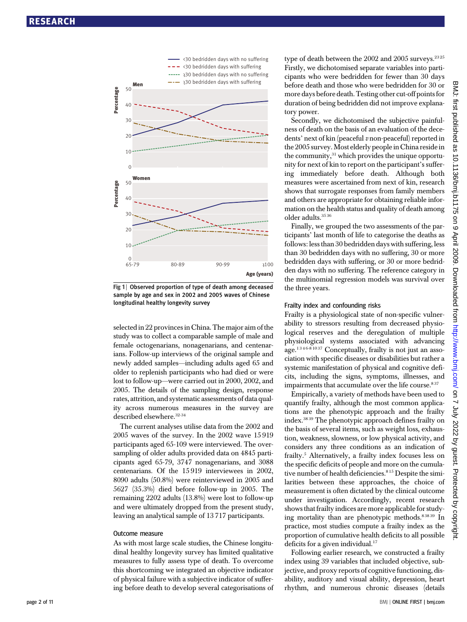

Fig 1 | Observed proportion of type of death among deceased sample by age and sex in 2002 and 2005 waves of Chinese longitudinal healthy longevity survey

selected in 22 provinces in China. The major aim of the study was to collect a comparable sample of male and female octogenarians, nonagenarians, and centenarians. Follow-up interviews of the original sample and newly added samples—including adults aged 65 and older to replenish participants who had died or were lost to follow-up—were carried out in 2000, 2002, and 2005. The details of the sampling design, response rates, attrition, and systematic assessments of data quality across numerous measures in the survey are described elsewhere.<sup>32-34</sup>

The current analyses utilise data from the 2002 and 2005 waves of the survey. In the 2002 wave 15 919 participants aged 65-109 were interviewed. The oversampling of older adults provided data on 4845 participants aged 65-79, 3747 nonagenarians, and 3088 centenarians. Of the 15 919 interviewees in 2002, 8090 adults (50.8%) were reinterviewed in 2005 and 5627 (35.3%) died before follow-up in 2005. The remaining 2202 adults (13.8%) were lost to follow-up and were ultimately dropped from the present study, leaving an analytical sample of 13 717 participants.

#### Outcome measure

As with most large scale studies, the Chinese longitudinal healthy longevity survey has limited qualitative measures to fully assess type of death. To overcome this shortcoming we integrated an objective indicator of physical failure with a subjective indicator of suffering before death to develop several categorisations of type of death between the 2002 and 2005 surveys.<sup>23 25</sup> Firstly, we dichotomised separate variables into participants who were bedridden for fewer than 30 days before death and those who were bedridden for 30 or more days before death. Testing other cut-off points for duration of being bedridden did not improve explanatory power.

Secondly, we dichotomised the subjective painfulness of death on the basis of an evaluation of the decedents' next of kin (peaceful v non-peaceful) reported in the 2005 survey.Most elderly people in China reside in the community, $31$  which provides the unique opportunity for next of kin to report on the participant's suffering immediately before death. Although both measures were ascertained from next of kin, research shows that surrogate responses from family members and others are appropriate for obtaining reliable information on the health status and quality of death among older adults.35 36

Finally, we grouped the two assessments of the participants' last month of life to categorise the deaths as follows: less than 30 bedridden days with suffering, less than 30 bedridden days with no suffering, 30 or more bedridden days with suffering, or 30 or more bedridden days with no suffering. The reference category in the multinomial regression models was survival over the three years.

## Frailty index and confounding risks

Frailty is a physiological state of non-specific vulnerability to stressors resulting from decreased physiological reserves and the deregulation of multiple physiological systems associated with advancing age.<sup>1346-81037</sup> Conceptually, frailty is not just an association with specific diseases or disabilities but rather a systemic manifestation of physical and cognitive deficits, including the signs, symptoms, illnesses, and impairments that accumulate over the life course.<sup>837</sup>

Empirically, a variety of methods have been used to quantify frailty, although the most common applications are the phenotypic approach and the frailty index.38 39 The phenotypic approach defines frailty on the basis of several items, such as weight loss, exhaustion, weakness, slowness, or low physical activity, and considers any three conditions as an indication of frailty.5 Alternatively, a frailty index focuses less on the specific deficits of people and more on the cumulative number of health deficiencies.<sup>815</sup> Despite the similarities between these approaches, the choice of measurement is often dictated by the clinical outcome under investigation. Accordingly, recent research shows that frailty indices are more applicable for studying mortality than are phenotypic methods.<sup>83839</sup> In practice, most studies compute a frailty index as the proportion of cumulative health deficits to all possible deficits for a given individual.<sup>17</sup>

Following earlier research, we constructed a frailty index using 39 variables that included objective, subjective, and proxy reports of cognitive functioning, disability, auditory and visual ability, depression, heart rhythm, and numerous chronic diseases (details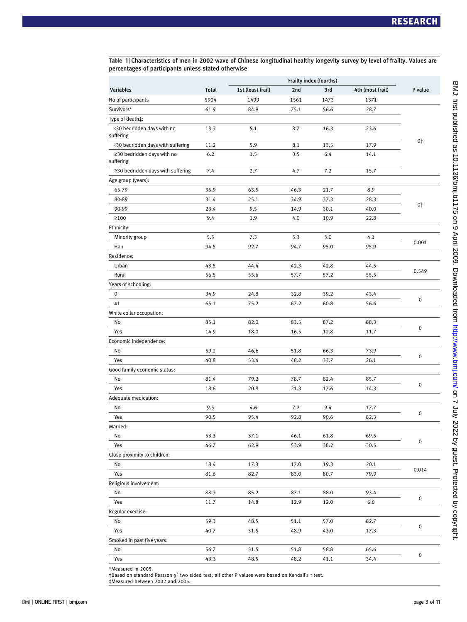Table 1 | Characteristics of men in 2002 wave of Chinese longitudinal healthy longevity survey by level of frailty. Values are percentages of participants unless stated otherwise

| <b>Variables</b>                        | <b>Total</b> | 1st (least frail) | 2nd  | 3rd  | 4th (most frail) | P value        |  |
|-----------------------------------------|--------------|-------------------|------|------|------------------|----------------|--|
| No of participants                      | 5904         | 1499              | 1561 | 1473 | 1371             |                |  |
| Survivors*                              | 61.9         | 84.9              | 75.1 | 56.6 | 28.7             |                |  |
| Type of death‡:                         |              |                   |      |      |                  |                |  |
| <30 bedridden days with no<br>suffering | 13.3         | 5.1               | 8.7  | 16.3 | 23.6             |                |  |
| <30 bedridden days with suffering       | 11.2         | 5.9               | 8.1  | 13.5 | 17.9             | 0†             |  |
| ≥30 bedridden days with no<br>suffering | 6.2          | 1.5               | 3.5  | 6.4  | 14.1             |                |  |
| ≥30 bedridden days with suffering       | 7.4          | 2.7               | 4.7  | 7.2  | 15.7             |                |  |
| Age group (years):                      |              |                   |      |      |                  |                |  |
| 65-79                                   | 35.9         | 63.5              | 46.3 | 21.7 | 8.9              |                |  |
| 80-89                                   | 31.4         | 25.1              | 34.9 | 37.3 | 28.3             |                |  |
| 90-99                                   | 23.4         | 9.5               | 14.9 | 30.1 | 40.0             | 0 <sub>1</sub> |  |
| ≥100                                    | 9.4          | 1.9               | 4.0  | 10.9 | 22.8             |                |  |
| Ethnicity:                              |              |                   |      |      |                  |                |  |
| Minority group                          | 5.5          | 7.3               | 5.3  | 5.0  | 4.1              |                |  |
| Han                                     | 94.5         | 92.7              | 94.7 | 95.0 | 95.9             | 0.001          |  |
| Residence:                              |              |                   |      |      |                  |                |  |
| Urban                                   | 43.5         | 44.4              | 42.3 | 42.8 | 44.5             |                |  |
| Rural                                   | 56.5         | 55.6              | 57.7 | 57.2 | 55.5             | 0.549          |  |
| Years of schooling:                     |              |                   |      |      |                  |                |  |
| 0                                       | 34.9         | 24.8              | 32.8 | 39.2 | 43.4             |                |  |
| $\geq$ 1                                | 65.1         | 75.2              | 67.2 | 60.8 | 56.6             | 0              |  |
| White collar occupation:                |              |                   |      |      |                  |                |  |
| No                                      | 85.1         | 82.0              | 83.5 | 87.2 | 88.3             |                |  |
| Yes                                     | 14.9         | 18.0              | 16.5 | 12.8 | 11.7             | $\pmb{0}$      |  |
| Economic independence:                  |              |                   |      |      |                  |                |  |
| No                                      | 59.2         | 46,6              | 51.8 | 66.3 | 73.9             |                |  |
| Yes                                     | 40.8         | 53.4              | 48.2 | 33.7 | 26.1             | $\pmb{0}$      |  |
| Good family economic status:            |              |                   |      |      |                  |                |  |
| No                                      | 81.4         | 79.2              | 78.7 | 82.4 | 85.7             |                |  |
| Yes                                     | 18.6         | 20.8              | 21.3 | 17.6 | 14.3             | $\pmb{0}$      |  |
| Adequate medication:                    |              |                   |      |      |                  |                |  |
| No                                      | 9.5          | 4.6               | 7.2  | 9.4  | 17.7             |                |  |
| Yes                                     | 90.5         | 95.4              | 92.8 | 90.6 | 82.3             | $\pmb{0}$      |  |
| Married:                                |              |                   |      |      |                  |                |  |
| No                                      | 53.3         | 37.1              | 46.1 | 61.8 | 69.5             |                |  |
| Yes                                     | 46.7         | 62.9              | 53.9 | 38.2 | 30.5             | $\pmb{0}$      |  |
| Close proximity to children:            |              |                   |      |      |                  |                |  |
| No                                      | 18.4         | 17.3              | 17.0 | 19.3 | 20.1             |                |  |
| Yes                                     | 81.6         | 82.7              | 83.0 | 80.7 | 79.9             | 0.014          |  |
| Religious involvement:                  |              |                   |      |      |                  |                |  |
| No                                      | 88.3         | 85.2              | 87.1 | 88.0 | 93.4             |                |  |
| Yes                                     | 11.7         | 14.8              | 12.9 | 12.0 | 6.6              | $\pmb{0}$      |  |
| Regular exercise:                       |              |                   |      |      |                  |                |  |
| No                                      | 59.3         | 48.5              | 51.1 | 57.0 | 82.7             |                |  |
| Yes                                     | 40.7         | 51.5              | 48.9 | 43.0 | 17.3             | $\pmb{0}$      |  |
| Smoked in past five years:              |              |                   |      |      |                  |                |  |
| No                                      | 56.7         | 51.5              | 51.8 | 58.8 | 65.6             |                |  |
| Yes                                     | 43.3         | 48.5              | 48.2 | 41.1 | 34.4             | $\pmb{0}$      |  |
|                                         |              |                   |      |      |                  |                |  |

\*Measured in 2005.<br>†Based on standard Pearson χ<sup>2</sup> two sided test; all other P values were based on Kendall's τ test. ‡Measured between 2002 and 2005.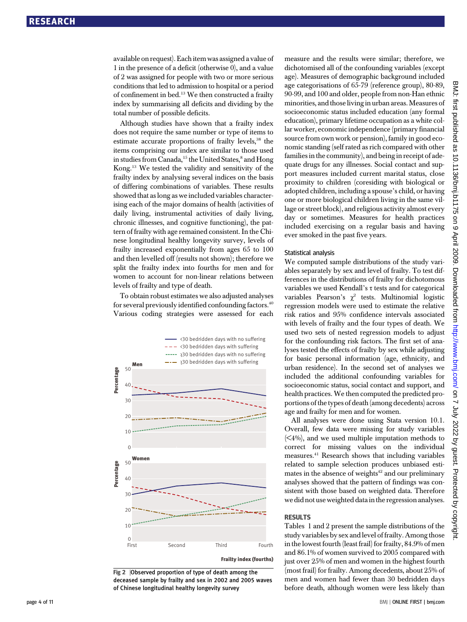available on request). Each item was assigned a value of 1 in the presence of a deficit (otherwise 0), and a value of 2 was assigned for people with two or more serious conditions that led to admission to hospital or a period of confinement in bed.<sup>13</sup> We then constructed a frailty index by summarising all deficits and dividing by the total number of possible deficits.

Although studies have shown that a frailty index does not require the same number or type of items to estimate accurate proportions of frailty levels,<sup>38</sup> the items comprising our index are similar to those used in studies from Canada,<sup>15</sup> the United States,<sup>8</sup> and Hong Kong.13 We tested the validity and sensitivity of the frailty index by analysing several indices on the basis of differing combinations of variables. These results showed that as long as we included variables characterising each of the major domains of health (activities of daily living, instrumental activities of daily living, chronic illnesses, and cognitive functioning), the pattern of frailty with age remained consistent. In the Chinese longitudinal healthy longevity survey, levels of frailty increased exponentially from ages 65 to 100 and then levelled off (results not shown); therefore we split the frailty index into fourths for men and for women to account for non-linear relations between levels of frailty and type of death.

To obtain robust estimates we also adjusted analyses for several previously identified confounding factors.<sup>40</sup> Various coding strategies were assessed for each



Fig 2 |Observed proportion of type of death among the deceased sample by frailty and sex in 2002 and 2005 waves of Chinese longitudinal healthy longevity survey

measure and the results were similar; therefore, we dichotomised all of the confounding variables (except age). Measures of demographic background included age categorisations of 65-79 (reference group), 80-89, 90-99, and 100 and older, people from non-Han ethnic minorities, and those living in urban areas.Measures of socioeconomic status included education (any formal education), primary lifetime occupation as a white collar worker, economic independence (primary financial source from own work or pension), family in good economic standing (self rated as rich compared with other families in the community), and being in receipt of adequate drugs for any illnesses. Social contact and support measures included current marital status, close proximity to children (coresiding with biological or adopted children, including a spouse's child, or having one or more biological children living in the same village or street block), and religious activity almost every day or sometimes. Measures for health practices included exercising on a regular basis and having ever smoked in the past five years.

## Statistical analysis

We computed sample distributions of the study variables separately by sex and level of frailty. To test differences in the distributions of frailty for dichotomous variables we used Kendall's τ tests and for categorical variables Pearson's  $\chi^2$  tests. Multinomial logistic regression models were used to estimate the relative risk ratios and 95% confidence intervals associated with levels of frailty and the four types of death. We used two sets of nested regression models to adjust for the confounding risk factors. The first set of analyses tested the effects of frailty by sex while adjusting for basic personal information (age, ethnicity, and urban residence). In the second set of analyses we included the additional confounding variables for socioeconomic status, social contact and support, and health practices. We then computed the predicted proportions of the types of death (among decedents) across age and frailty for men and for women.

All analyses were done using Stata version 10.1. Overall, few data were missing for study variables  $\left(\langle 4\%, \rangle\right)$  and we used multiple imputation methods to correct for missing values on the individual measures.41 Research shows that including variables related to sample selection produces unbiased estimates in the absence of weights $42$  and our preliminary analyses showed that the pattern of findings was consistent with those based on weighted data. Therefore we did not use weighted data in the regression analyses.

Tables 1 and 2 present the sample distributions of the study variables by sex and level of frailty. Among those in the lowest fourth (least frail) for frailty, 84.9% of men and 86.1% of women survived to 2005 compared with just over 25% of men and women in the highest fourth (most frail) for frailty. Among decedents, about 25% of men and women had fewer than 30 bedridden days before death, although women were less likely than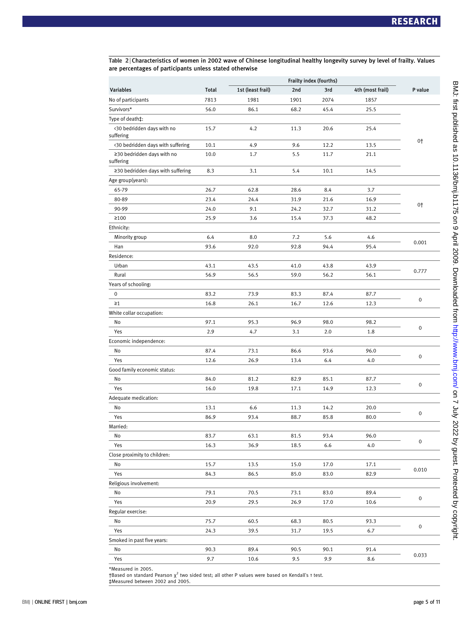Table 2 <sup>|</sup> Characteristics of women in 2002 wave of Chinese longitudinal healthy longevity survey by level of frailty. Values are percentages of participants unless stated otherwise

| <b>Variables</b>                        | <b>Total</b> | 1st (least frail) | 2nd  | 3rd  | 4th (most frail) | P value        |  |
|-----------------------------------------|--------------|-------------------|------|------|------------------|----------------|--|
| No of participants                      | 7813         | 1981              | 1901 | 2074 | 1857             |                |  |
| Survivors*                              | 56.0         | 86.1              | 68.2 | 45.4 | 25.5             |                |  |
| Type of death‡:                         |              |                   |      |      |                  |                |  |
| <30 bedridden days with no<br>suffering | 15.7         | 4.2               | 11.3 | 20.6 | 25.4             |                |  |
| <30 bedridden days with suffering       | 10.1         | 4.9               | 9.6  | 12.2 | 13.5             | 0†             |  |
| ≥30 bedridden days with no<br>suffering | 10.0         | 1.7               | 5.5  | 11.7 | 21.1             |                |  |
| ≥30 bedridden days with suffering       | 8.3          | 3.1               | 5.4  | 10.1 | 14.5             |                |  |
| Age group(years):                       |              |                   |      |      |                  |                |  |
| 65-79                                   | 26.7         | 62.8              | 28.6 | 8.4  | 3.7              |                |  |
| 80-89                                   | 23.4         | 24.4              | 31.9 | 21.6 | 16.9             |                |  |
| 90-99                                   | 24.0         | 9.1               | 24.2 | 32.7 | 31.2             | 0 <sub>1</sub> |  |
| ≥100                                    | 25.9         | 3.6               | 15.4 | 37.3 | 48.2             |                |  |
| Ethnicity:                              |              |                   |      |      |                  |                |  |
| Minority group                          | 6.4          | 8.0               | 7.2  | 5.6  | 4.6              |                |  |
| Han                                     | 93.6         | 92.0              | 92.8 | 94.4 | 95.4             | 0.001          |  |
| Residence:                              |              |                   |      |      |                  |                |  |
| Urban                                   | 43.1         | 43.5              | 41.0 | 43.8 | 43.9             |                |  |
| Rural                                   | 56.9         | 56.5              | 59.0 | 56.2 | 56.1             | 0.777          |  |
| Years of schooling:                     |              |                   |      |      |                  |                |  |
| 0                                       | 83.2         | 73.9              | 83.3 | 87.4 | 87.7             |                |  |
| $\geq$ 1                                | 16.8         | 26.1              | 16.7 | 12.6 | 12.3             | 0              |  |
| White collar occupation:                |              |                   |      |      |                  |                |  |
| No                                      | 97.1         | 95.3              | 96.9 | 98.0 | 98.2             |                |  |
| Yes                                     | 2.9          | 4.7               | 3.1  | 2.0  | 1.8              | $\pmb{0}$      |  |
| Economic independence:                  |              |                   |      |      |                  |                |  |
| No                                      | 87.4         | 73.1              | 86.6 | 93.6 | 96.0             |                |  |
| Yes                                     | 12.6         | 26.9              | 13.4 | 6.4  | 4.0              | $\pmb{0}$      |  |
| Good family economic status:            |              |                   |      |      |                  |                |  |
| No                                      | 84.0         | 81.2              | 82.9 | 85.1 | 87.7             |                |  |
| Yes                                     | 16.0         | 19.8              | 17.1 | 14.9 | 12.3             | $\pmb{0}$      |  |
| Adequate medication:                    |              |                   |      |      |                  |                |  |
| No                                      | 13.1         | 6.6               | 11.3 | 14.2 | 20.0             |                |  |
| Yes                                     | 86.9         | 93.4              | 88.7 | 85.8 | 80.0             | $\pmb{0}$      |  |
| Married:                                |              |                   |      |      |                  |                |  |
| No                                      | 83.7         | 63.1              | 81.5 | 93.4 | 96.0             |                |  |
| Yes                                     | 16.3         | 36.9              | 18.5 | 6.6  | 4.0              | $\pmb{0}$      |  |
| Close proximity to children:            |              |                   |      |      |                  |                |  |
| No                                      | 15.7         | 13.5              | 15.0 | 17.0 | 17.1             |                |  |
| Yes                                     | 84.3         | 86.5              | 85.0 | 83.0 | 82.9             | 0.010          |  |
| Religious involvement:                  |              |                   |      |      |                  |                |  |
| No                                      | 79.1         | 70.5              | 73.1 | 83.0 | 89.4             |                |  |
| Yes                                     | 20.9         | 29.5              | 26.9 | 17.0 | 10.6             | $\pmb{0}$      |  |
| Regular exercise:                       |              |                   |      |      |                  |                |  |
| No                                      | 75.7         | 60.5              | 68.3 | 80.5 | 93.3             |                |  |
| Yes                                     | 24.3         | 39.5              | 31.7 | 19.5 | 6.7              | $\pmb{0}$      |  |
| Smoked in past five years:              |              |                   |      |      |                  |                |  |
| No                                      | 90.3         | 89.4              | 90.5 | 90.1 | 91.4             |                |  |
| Yes                                     | 9.7          | 10.6              | 9.5  | 9.9  | 8.6              | 0.033          |  |
|                                         |              |                   |      |      |                  |                |  |

\*Measured in 2005.<br>†Based on standard Pearson χ<sup>2</sup> two sided test; all other P values were based on Kendall's τ test. ‡Measured between 2002 and 2005.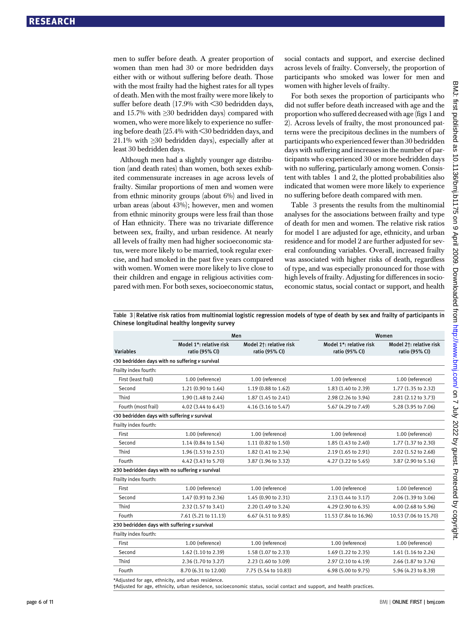men to suffer before death. A greater proportion of women than men had 30 or more bedridden days either with or without suffering before death. Those with the most frailty had the highest rates for all types of death. Men with the most frailty were more likely to suffer before death (17.9% with <30 bedridden days, and 15.7% with  $\geq$ 30 bedridden days) compared with women, who were more likely to experience no suffering before death (25.4% with <30 bedridden days, and 21.1% with  $\geq$ 30 bedridden days), especially after at least 30 bedridden days.

Although men had a slightly younger age distribution (and death rates) than women, both sexes exhibited commensurate increases in age across levels of frailty. Similar proportions of men and women were from ethnic minority groups (about 6%) and lived in urban areas (about 43%); however, men and women from ethnic minority groups were less frail than those of Han ethnicity. There was no trivariate difference between sex, frailty, and urban residence. At nearly all levels of frailty men had higher socioeconomic status, were more likely to be married, took regular exercise, and had smoked in the past five years compared with women. Women were more likely to live close to their children and engage in religious activities compared with men. For both sexes, socioeconomic status,

social contacts and support, and exercise declined across levels of frailty. Conversely, the proportion of participants who smoked was lower for men and women with higher levels of frailty.

For both sexes the proportion of participants who did not suffer before death increased with age and the proportion who suffered decreased with age (figs 1 and 2). Across levels of frailty, the most pronounced patterns were the precipitous declines in the numbers of participants who experienced fewer than 30 bedridden days with suffering and increases in the number of participants who experienced 30 or more bedridden days with no suffering, particularly among women. Consistent with tables 1 and 2, the plotted probabilities also indicated that women were more likely to experience no suffering before death compared with men.

Table 3 presents the results from the multinomial analyses for the associations between frailty and type of death for men and women. The relative risk ratios for model 1 are adjusted for age, ethnicity, and urban residence and for model 2 are further adjusted for several confounding variables. Overall, increased frailty was associated with higher risks of death, regardless of type, and was especially pronounced for those with high levels of frailty. Adjusting for differences in socioeconomic status, social contact or support, and health

|                                                 |                                                 | Men                                                    | Women                                     |                                                        |  |
|-------------------------------------------------|-------------------------------------------------|--------------------------------------------------------|-------------------------------------------|--------------------------------------------------------|--|
| <b>Variables</b>                                | Model 1*: relative risk<br>ratio (95% CI)       | Model 2 <sup>+</sup> : relative risk<br>ratio (95% CI) | Model 1*: relative risk<br>ratio (95% CI) | Model 2 <sup>+</sup> : relative risk<br>ratio (95% CI) |  |
| <30 bedridden days with no suffering v survival |                                                 |                                                        |                                           |                                                        |  |
| Frailty index fourth:                           |                                                 |                                                        |                                           |                                                        |  |
| First (least frail)                             | 1.00 (reference)                                | 1.00 (reference)                                       | 1.00 (reference)                          | 1.00 (reference)                                       |  |
| Second                                          | 1.21 (0.90 to 1.64)                             | 1.19 (0.88 to 1.62)                                    | 1.83 (1.40 to 2.39)                       | 1.77 (1.35 to 2.32)                                    |  |
| Third                                           | 1.90 (1.48 to 2.44)                             | 1.87 (1.45 to 2.41)                                    | 2.98 (2.26 to 3.94)                       | 2.81 (2.12 to 3.73)                                    |  |
| Fourth (most frail)                             | 4.02 (3.44 to 6.43)                             | 4.16 (3.16 to 5.47)                                    | 5.67 (4.29 to 7.49)                       | 5.28 (3.95 to 7.06)                                    |  |
| <30 bedridden days with suffering v survival    |                                                 |                                                        |                                           |                                                        |  |
| Frailty index fourth:                           |                                                 |                                                        |                                           |                                                        |  |
| First                                           | 1.00 (reference)                                | 1.00 (reference)                                       | 1.00 (reference)                          | 1.00 (reference)                                       |  |
| Second                                          | 1.14 (0.84 to 1.54)                             | 1.11 (0.82 to 1.50)                                    | 1.85 (1.43 to 2.40)                       | 1.77 (1.37 to 2.30)                                    |  |
| Third                                           | 1.96 (1.53 to 2.51)                             | 1.82 (1.41 to 2.34)                                    | 2.19 (1.65 to 2.91)                       | 2.02 (1.52 to 2.68)                                    |  |
| Fourth                                          | 4.42 (3.43 to 5.70)                             | 3.87 (1.96 to 3.32)                                    | 4.27 (3.22 to 5.65)                       | 3.87 (2.90 to 5.16)                                    |  |
|                                                 | ≥30 bedridden days with no suffering v survival |                                                        |                                           |                                                        |  |
| Frailty index fourth:                           |                                                 |                                                        |                                           |                                                        |  |
| First                                           | 1.00 (reference)                                | 1.00 (reference)                                       | 1.00 (reference)                          | 1.00 (reference)                                       |  |
| Second                                          | 1.47 (0.93 to 2.36)                             | 1.45 (0.90 to 2.31)                                    | 2.13 (1.44 to 3.17)                       | 2.06 (1.39 to 3.06)                                    |  |
| Third                                           | 2.32 (1.57 to 3.41)                             | 2.20 (1.49 to 3.24)                                    | 4.29 (2.90 to 6.35)                       | 4.00 (2.68 to 5.96)                                    |  |
| Fourth                                          | 7.61 (5.21 to 11.13)                            | 6.67 (4.51 to 9.85)                                    | 11.53 (7.84 to 16.96)                     | 10.53 (7.06 to 15.70)                                  |  |
| ≥30 bedridden days with suffering v survival    |                                                 |                                                        |                                           |                                                        |  |
| Frailty index fourth:                           |                                                 |                                                        |                                           |                                                        |  |
| First                                           | 1.00 (reference)                                | 1.00 (reference)                                       | 1.00 (reference)                          | 1.00 (reference)                                       |  |
| Second                                          | 1.62 (1.10 to 2.39)                             | 1.58 (1.07 to 2.33)                                    | 1.69 (1.22 to 2.35)                       | 1.61 (1.16 to 2.24)                                    |  |
| Third                                           | 2.36 (1.70 to 3.27)                             | 2.23 (1.60 to 3.09)                                    | 2.97 (2.10 to 4.19)                       | 2.66 (1.87 to 3.76)                                    |  |
| Fourth                                          | 8.70 (6.31 to 12.00)                            | 7.75 (5.54 to 10.83)                                   | 6.98 (5.00 to 9.75)                       | 5.96 (4.23 to 8.39)                                    |  |
|                                                 |                                                 |                                                        |                                           |                                                        |  |

Table 3 <sup>|</sup> Relative risk ratios from multinomial logistic regression models of type of death by sex and frailty of participants in Chinese longitudinal healthy longevity survey

\*Adjusted for age, ethnicity, and urban residence.

†Adjusted for age, ethnicity, urban residence, socioeconomic status, social contact and support, and health practices.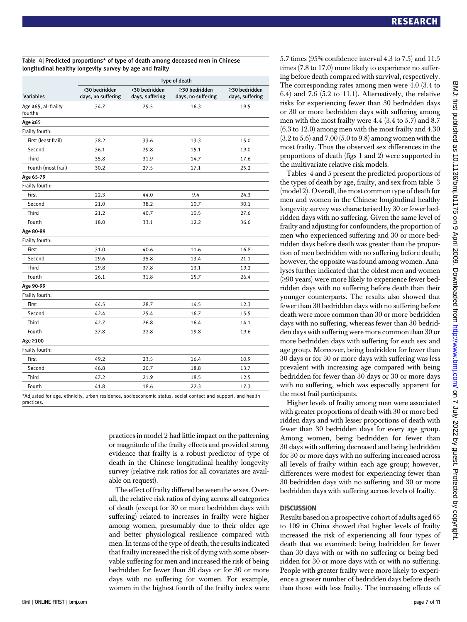Table 4 <sup>|</sup> Predicted proportions\* of type of death among deceased men in Chinese longitudinal healthy longevity survey by age and frailty

|                                 | Type of death                       |                                  |                                     |                                  |  |  |
|---------------------------------|-------------------------------------|----------------------------------|-------------------------------------|----------------------------------|--|--|
| <b>Variables</b>                | <30 bedridden<br>days, no suffering | <30 bedridden<br>days, suffering | ≥30 bedridden<br>days, no suffering | ≥30 bedridden<br>days, suffering |  |  |
| Age ≥65, all frailty<br>fourths | 34.7                                | 29.5                             | 16.3                                | 19.5                             |  |  |
| Age $\geq 65$                   |                                     |                                  |                                     |                                  |  |  |
| Frailty fourth:                 |                                     |                                  |                                     |                                  |  |  |
| First (least frail)             | 38.2                                | 33.6                             | 13.3                                | 15.0                             |  |  |
| Second                          | 36.1                                | 29.8                             | 15.1                                | 19.0                             |  |  |
| Third                           | 35.8                                | 31.9                             | 14.7                                | 17.6                             |  |  |
| Fourth (most frail)             | 30.2                                | 27.5                             | 17.1                                | 25.2                             |  |  |
| Age 65-79                       |                                     |                                  |                                     |                                  |  |  |
| Frailty fourth:                 |                                     |                                  |                                     |                                  |  |  |
| First                           | 22.3                                | 44.0                             | 9.4                                 | 24.3                             |  |  |
| Second                          | 21.0                                | 38.2                             | 10.7                                | 30.1                             |  |  |
| Third                           | 21.2                                | 40.7                             | 10.5                                | 27.6                             |  |  |
| Fourth                          | 18.0                                | 33.1                             | 12.2                                | 36.6                             |  |  |
| Age 80-89                       |                                     |                                  |                                     |                                  |  |  |
| Frailty fourth:                 |                                     |                                  |                                     |                                  |  |  |
| First                           | 31.0                                | 40.6                             | 11.6                                | 16.8                             |  |  |
| Second                          | 29.6                                | 35.8                             | 13.4                                | 21.1                             |  |  |
| Third                           | 29.8                                | 37.8                             | 13.1                                | 19.2                             |  |  |
| Fourth                          | 26.1                                | 31.8                             | 15.7                                | 26.4                             |  |  |
| Age 90-99                       |                                     |                                  |                                     |                                  |  |  |
| Frailty fourth:                 |                                     |                                  |                                     |                                  |  |  |
| First                           | 44.5                                | 28.7                             | 14.5                                | 12.3                             |  |  |
| Second                          | 42.4                                | 25.4                             | 16.7                                | 15.5                             |  |  |
| Third                           | 42.7                                | 26.8                             | 16.4                                | 14.1                             |  |  |
| Fourth                          | 37.8                                | 22.8                             | 19.8                                | 19.6                             |  |  |
| Age ≥100                        |                                     |                                  |                                     |                                  |  |  |
| Frailty fourth:                 |                                     |                                  |                                     |                                  |  |  |
| First                           | 49.2                                | 23.5                             | 16.4                                | 10.9                             |  |  |
| Second                          | 46.8                                | 20.7                             | 18.8                                | 13.7                             |  |  |
| Third                           | 47.2                                | 21.9                             | 18.5                                | 12.5                             |  |  |
| Fourth                          | 41.8                                | 18.6                             | 22.3                                | 17.3                             |  |  |
|                                 |                                     |                                  |                                     |                                  |  |  |

\*Adjusted for age, ethnicity, urban residence, socioeconomic status, social contact and support, and health practices.

> practices in model 2 had little impact on the patterning or magnitude of the frailty effects and provided strong evidence that frailty is a robust predictor of type of death in the Chinese longitudinal healthy longevity survey (relative risk ratios for all covariates are available on request).

> The effect of frailty differed between the sexes. Overall, the relative risk ratios of dying across all categories of death (except for 30 or more bedridden days with suffering) related to increases in frailty were higher among women, presumably due to their older age and better physiological resilience compared with men. In terms of the type of death, the results indicated that frailty increased the risk of dying with some observable suffering for men and increased the risk of being bedridden for fewer than 30 days or for 30 or more days with no suffering for women. For example, women in the highest fourth of the frailty index were

5.7 times (95% confidence interval 4.3 to 7.5) and 11.5 times (7.8 to 17.0) more likely to experience no suffering before death compared with survival, respectively. The corresponding rates among men were 4.0 (3.4 to 6.4) and 7.6 (5.2 to 11.1). Alternatively, the relative risks for experiencing fewer than 30 bedridden days or 30 or more bedridden days with suffering among men with the most frailty were 4.4  $(3.4 \text{ to } 5.7)$  and  $8.7$ (6.3 to 12.0) among men with the most frailty and 4.30 (3.2 to 5.6) and 7.00 (5.0 to 9.8) among women with the most frailty. Thus the observed sex differences in the proportions of death (figs 1 and 2) were supported in the multivariate relative risk models.

Tables 4 and 5 present the predicted proportions of the types of death by age, frailty, and sex from table 3 (model 2). Overall, the most common type of death for men and women in the Chinese longitudinal healthy longevity survey was characterised by 30 or fewer bedridden days with no suffering. Given the same level of frailty and adjusting for confounders, the proportion of men who experienced suffering and 30 or more bedridden days before death was greater than the proportion of men bedridden with no suffering before death; however, the opposite was found among women. Analyses further indicated that the oldest men and women  $(\geq 90 \text{ years})$  were more likely to experience fewer bedridden days with no suffering before death than their younger counterparts. The results also showed that fewer than 30 bedridden days with no suffering before death were more common than 30 or more bedridden days with no suffering, whereas fewer than 30 bedridden days with suffering were more common than 30 or more bedridden days with suffering for each sex and age group. Moreover, being bedridden for fewer than 30 days or for 30 or more days with suffering was less prevalent with increasing age compared with being bedridden for fewer than 30 days or 30 or more days with no suffering, which was especially apparent for the most frail participants.

Higher levels of frailty among men were associated with greater proportions of death with 30 or more bedridden days and with lesser proportions of death with fewer than 30 bedridden days for every age group. Among women, being bedridden for fewer than 30 days with suffering decreased and being bedridden for 30 or more days with no suffering increased across all levels of frailty within each age group; however, differences were modest for experiencing fewer than 30 bedridden days with no suffering and 30 or more bedridden days with suffering across levels of frailty.

Results based on a prospective cohort of adults aged 65 to 109 in China showed that higher levels of frailty increased the risk of experiencing all four types of death that we examined: being bedridden for fewer than 30 days with or with no suffering or being bedridden for 30 or more days with or with no suffering. People with greater frailty were more likely to experience a greater number of bedridden days before death than those with less frailty. The increasing effects of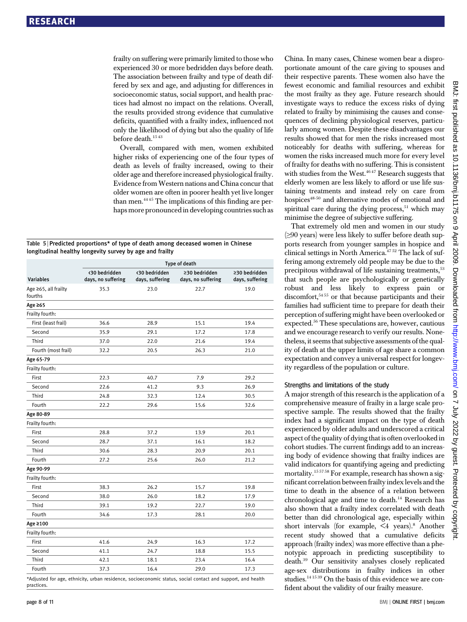frailty on suffering were primarily limited to those who experienced 30 or more bedridden days before death. The association between frailty and type of death differed by sex and age, and adjusting for differences in socioeconomic status, social support, and health practices had almost no impact on the relations. Overall, the results provided strong evidence that cumulative deficits, quantified with a frailty index, influenced not only the likelihood of dying but also the quality of life before death.15 43

Overall, compared with men, women exhibited higher risks of experiencing one of the four types of death as levels of frailty increased, owing to their older age and therefore increased physiological frailty. Evidence from Western nations and China concur that older women are often in poorer health yet live longer than men.44 45 The implications of this finding are perhaps more pronounced in developing countries such as

Table 5 | Predicted proportions\* of type of death among deceased women in Chinese longitudinal healthy longevity survey by age and frailty

|                                 | Type of death                       |                                  |                                     |                                  |  |  |
|---------------------------------|-------------------------------------|----------------------------------|-------------------------------------|----------------------------------|--|--|
| <b>Variables</b>                | <30 bedridden<br>days, no suffering | <30 bedridden<br>days, suffering | ≥30 bedridden<br>days, no suffering | ≥30 bedridden<br>days, suffering |  |  |
| Age ≥65, all frailty<br>fourths | 35.3                                | 23.0                             | 22.7                                | 19.0                             |  |  |
| Age ≥65                         |                                     |                                  |                                     |                                  |  |  |
| Frailty fourth:                 |                                     |                                  |                                     |                                  |  |  |
| First (least frail)             | 36.6                                | 28.9                             | 15.1                                | 19.4                             |  |  |
| Second                          | 35.9                                | 29.1                             | 17.2                                | 17.8                             |  |  |
| Third                           | 37.0                                | 22.0                             | 21.6                                | 19.4                             |  |  |
| Fourth (most frail)             | 32.2                                | 20.5                             | 26.3                                | 21.0                             |  |  |
| Age 65-79                       |                                     |                                  |                                     |                                  |  |  |
| Frailty fourth:                 |                                     |                                  |                                     |                                  |  |  |
| First                           | 22.3                                | 40.7                             | 7.9                                 | 29.2                             |  |  |
| Second                          | 22.6                                | 41.2                             | 9.3                                 | 26.9                             |  |  |
| Third                           | 24.8                                | 32.3                             | 12.4                                | 30.5                             |  |  |
| Fourth                          | 22.2                                | 29.6                             | 15.6                                | 32.6                             |  |  |
| Age 80-89                       |                                     |                                  |                                     |                                  |  |  |
| Frailty fourth:                 |                                     |                                  |                                     |                                  |  |  |
| First                           | 28.8                                | 37.2                             | 13.9                                | 20.1                             |  |  |
| Second                          | 28.7                                | 37.1                             | 16.1                                | 18.2                             |  |  |
| Third                           | 30.6                                | 28.3                             | 20.9                                | 20.1                             |  |  |
| Fourth                          | 27.2                                | 25.6                             | 26.0                                | 21.2                             |  |  |
| Age 90-99                       |                                     |                                  |                                     |                                  |  |  |
| Frailty fourth:                 |                                     |                                  |                                     |                                  |  |  |
| First                           | 38.3                                | 26.2                             | 15.7                                | 19.8                             |  |  |
| Second                          | 38.0                                | 26.0                             | 18.2                                | 17.9                             |  |  |
| Third                           | 39.1                                | 19.2                             | 22.7                                | 19.0                             |  |  |
| Fourth                          | 34.6                                | 17.3                             | 28.1                                | 20.0                             |  |  |
| Age ≥100                        |                                     |                                  |                                     |                                  |  |  |
| Frailty fourth:                 |                                     |                                  |                                     |                                  |  |  |
| First                           | 41.6                                | 24.9                             | 16.3                                | 17.2                             |  |  |
| Second                          | 41.1                                | 24.7                             | 18.8                                | 15.5                             |  |  |
| Third                           | 42.1                                | 18.1                             | 23.4                                | 16.4                             |  |  |
| Fourth                          | 37.3                                | 16.4                             | 29.0                                | 17.3                             |  |  |
|                                 |                                     |                                  |                                     |                                  |  |  |

\*Adjusted for age, ethnicity, urban residence, socioeconomic status, social contact and support, and health practices.

China. In many cases, Chinese women bear a disproportionate amount of the care giving to spouses and their respective parents. These women also have the fewest economic and familial resources and exhibit the most frailty as they age. Future research should investigate ways to reduce the excess risks of dying related to frailty by minimising the causes and consequences of declining physiological reserves, particularly among women. Despite these disadvantages our results showed that for men the risks increased most noticeably for deaths with suffering, whereas for women the risks increased much more for every level of frailty for deaths with no suffering. This is consistent with studies from the West.<sup>4647</sup> Research suggests that elderly women are less likely to afford or use life sustaining treatments and instead rely on care from hospices<sup>48-50</sup> and alternative modes of emotional and spiritual care during the dying process, $51$  which may minimise the degree of subjective suffering.

That extremely old men and women in our study  $(\geq 90 \text{ years})$  were less likely to suffer before death supports research from younger samples in hospice and clinical settings in North America.<sup>4752</sup> The lack of suffering among extremely old people may be due to the precipitous withdrawal of life sustaining treatments,<sup>53</sup> that such people are psychologically or genetically robust and less likely to express pain or discomfort,<sup>5455</sup> or that because participants and their families had sufficient time to prepare for death their perception of suffering might have been overlooked or expected.56 These speculations are, however, cautious and we encourage research to verify our results. Nonetheless, it seems that subjective assessments of the quality of death at the upper limits of age share a common expectation and convey a universal respect for longevity regardless of the population or culture.

## Strengths and limitations of the study

A major strength of this research is the application of a comprehensive measure of frailty in a large scale prospective sample. The results showed that the frailty index had a significant impact on the type of death experienced by older adults and underscored a critical aspect of the quality of dying that is often overlooked in cohort studies. The current findings add to an increasing body of evidence showing that frailty indices are valid indicators for quantifying ageing and predicting mortality.15 57 58 For example, research has shown a significant correlation between frailty index levels and the time to death in the absence of a relation between chronological age and time to death.14 Research has also shown that a frailty index correlated with death better than did chronological age, especially within short intervals (for example,  $\leq 4$  years).<sup>8</sup> Another recent study showed that a cumulative deficits approach (frailty index) was more effective than a phenotypic approach in predicting susceptibility to death.39 Our sensitivity analyses closely replicated age-sex distributions in frailty indices in other studies.14 15 39 On the basis of this evidence we are confident about the validity of our frailty measure.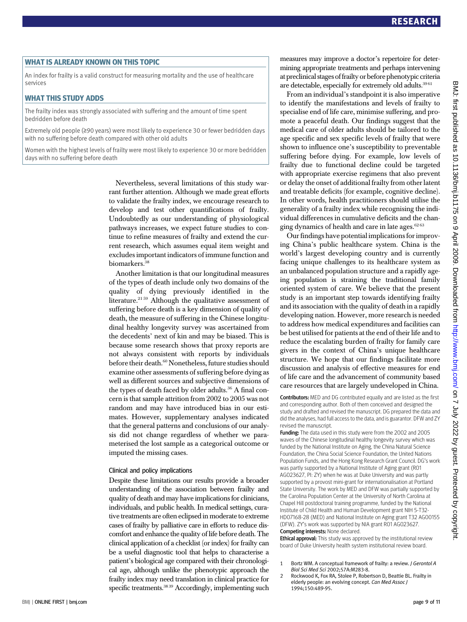WHAT IS ALREADY KNOWN ON THIS TOPIC An index for frailty is a valid construct for measuring mortality and the use of healthcare services

WHAT THIS STUDY ADDS The frailty index was strongly associated with suffering and the amount of time spent bedridden before death

Extremely old people (≥90 years) were most likely to experience 30 or fewer bedridden days with no suffering before death compared with other old adults

Women with the highest levels of frailty were most likely to experience 30 or more bedridden days with no suffering before death

> Nevertheless, several limitations of this study warrant further attention. Although we made great efforts to validate the frailty index, we encourage research to develop and test other quantifications of frailty. Undoubtedly as our understanding of physiological pathways increases, we expect future studies to continue to refine measures of frailty and extend the current research, which assumes equal item weight and excludes important indicators of immune function and biomarkers.38

> Another limitation is that our longitudinal measures of the types of death include only two domains of the quality of dying previously identified in the literature.<sup>2159</sup> Although the qualitative assessment of suffering before death is a key dimension of quality of death, the measure of suffering in the Chinese longitudinal healthy longevity survey was ascertained from the decedents' next of kin and may be biased. This is because some research shows that proxy reports are not always consistent with reports by individuals before their death.<sup>60</sup> Nonetheless, future studies should examine other assessments of suffering before dying as well as different sources and subjective dimensions of the types of death faced by older adults.<sup>36</sup> A final concern is that sample attrition from 2002 to 2005 was not random and may have introduced bias in our estimates. However, supplementary analyses indicated that the general patterns and conclusions of our analysis did not change regardless of whether we parameterised the lost sample as a categorical outcome or imputed the missing cases.

## Clinical and policy implications

Despite these limitations our results provide a broader understanding of the association between frailty and quality of death and may have implications for clinicians, individuals, and public health. In medical settings, curative treatments are often eclipsed in moderate to extreme cases of frailty by palliative care in efforts to reduce discomfort and enhance the quality of life before death. The clinical application of a checklist (or index) for frailty can be a useful diagnostic tool that helps to characterise a patient's biological age compared with their chronological age, although unlike the phenotypic approach the frailty index may need translation in clinical practice for specific treatments.<sup>38 39</sup> Accordingly, implementing such measures may improve a doctor's repertoire for determining appropriate treatments and perhaps intervening at preclinical stages offrailty or before phenotypic criteria are detectable, especially for extremely old adults.<sup>3961</sup>

From an individual's standpoint it is also imperative to identify the manifestations and levels of frailty to specialise end of life care, minimise suffering, and promote a peaceful death. Our findings suggest that the medical care of older adults should be tailored to the age specific and sex specific levels of frailty that were shown to influence one's susceptibility to preventable suffering before dying. For example, low levels of frailty due to functional decline could be targeted with appropriate exercise regimens that also prevent or delay the onset of additional frailty from other latent and treatable deficits (for example, cognitive decline). In other words, health practitioners should utilise the generality of a frailty index while recognising the individual differences in cumulative deficits and the changing dynamics of health and care in late ages.<sup>6263</sup>

Our findings have potential implications for improving China's public healthcare system. China is the world's largest developing country and is currently facing unique challenges to its healthcare system as an unbalanced population structure and a rapidly ageing population is straining the traditional family oriented system of care. We believe that the present study is an important step towards identifying frailty and its association with the quality of death in a rapidly developing nation. However, more research is needed to address how medical expenditures and facilities can be best utilised for patients at the end of their life and to reduce the escalating burden of frailty for family care givers in the context of China's unique healthcare structure. We hope that our findings facilitate more discussion and analysis of effective measures for end of life care and the advancement of community based care resources that are largely undeveloped in China.

Contributors: MED and DG contributed equally and are listed as the first and corresponding author. Both of them conceived and designed the study and drafted and revised the manuscript. DG prepared the data and did the analyses, had full access to the data, and is guarantor. DFW and ZY revised the manuscript.

Funding: The data used in this study were from the 2002 and 2005 waves of the Chinese longitudinal healthy longevity survey which was funded by the National Institute on Aging, the China Natural Science Foundation, the China Social Science Foundation, the United Nations Population Funds, and the Hong Kong Research Grant Council. DG's work was partly supported by a National Institute of Aging grant (R01 AG023627, PI: ZY) when he was at Duke University and was partly supported by a provost mini-grant for internationalisation at Portland State University. The work by MED and DFW was partially supported by the Carolina Population Center at the University of North Carolina at Chapel Hill postdoctoral training programme, funded by the National Institute of Child Health and Human Development grant NIH 5-T32- HD07168-28 (MED) and National Institute on Aging grant T32 AG00155 (DFW). ZY's work was supported by NIA grant R01 AG023627. Competing interests: None declared.

Ethical approval: This study was approved by the institutional review board of Duke University health system institutional review board.

- 1 Bortz WM. A conceptual framework of frailty: a review. J Gerontol A Biol Sci Med Sci 2002;57A:M283-8.
- 2 Rockwood K, Fox RA, Stolee P, Robertson D, Beattie BL. Frailty in elderly people: an evolving concept. Can Med Assoc J 1994;150:489-95.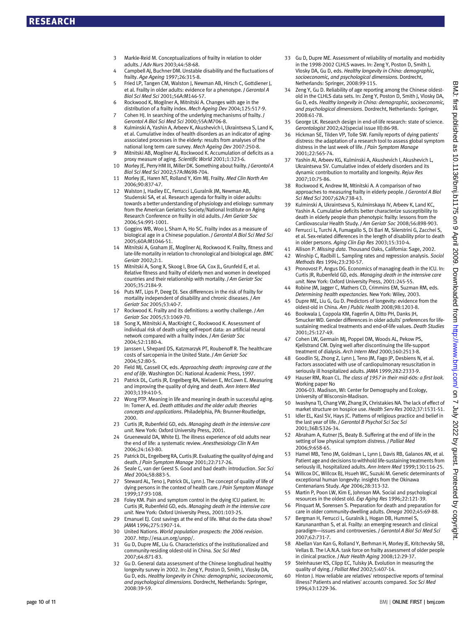- 3 Markle-Reid M. Conceptualizations of frailty in relation to older adults. J Adv Nurs 2003;44:58-68.
- 4 Campbell AJ, Buchner DM. Unstable disability and the fluctuations of frailty. Age Ageing 1997;26:315-8.
- 5 Fried LP, Tangen CM, Walston J, Newman AB, Hirsch C, Gottdiener J, et al. Frailty in older adults: evidence for a phenotype. J Gerontol A Biol Sci Med Sci 2001;56A:M146-57.
- 6 Rockwood K, Mogilner A, Mitnitski A. Changes with age in the distribution of a frailty index. Mech Ageing Dev 2004;125:517-9. 7 Cohen HJ. In searching of the underlying mechanisms of frailty. J
- Gerontol A Biol Sci Med Sci 2000;55A:M706-8.
- 8 Kulminski A, Yashin A, Arbeev K, Akushevich I, Ukraintseva S, Land K, et al. Cumulative index of health disorders as an indicator of agingassociated processes in the elderly: results from analyses of the national long term care survey. Mech Ageing Dev 2007:250-8.
- 9 Mitnitski AB, Mogilner AJ, Rockwood K. Accumulation of deficits as a proxy measure of aging. Scientific World 2001;1:323-6. 10 Morley JE, Perry HM III, Miller DK. Something about frailty. J Gerontol A
- Biol Sci Med Sci 2002;57A:M698-704. 11 Morley JE, Haren NT, Rolland Y, Kim MJ. Frailty. Med Clin North Am
- 2006;90:837-47. 12 Walston J, Hadley EC, Ferrucci L,Guralnik JM, Newman AB,
- Studenski SA, et al. Research agenda for frailty in older adults: towards a better understanding of physiology and etiology: summary from the American Geriatrics Society/National Institute on Aging Research Conference on frailty in old adults. J Am Geriatr Soc 2006;54:991-1001.
- 13 Goggins WB, Woo J, Sham A, Ho SC. Frailty index as a measure of biological age in a Chinese population. *I Gerontol A Biol Sci Med Sci* 2005;60A:M1046-51.
- 14 Mitnitski A, Graham JE, Mogilner AJ, Rockwood K. Frailty, fitness and late-life mortality in relation to chronological and biological age. BMC Geriatr 2002;2:1.
- 15 Mitnitski A, Song X, Skoog I, Broe GA, Cox JL, Grunfeld E, et al. Relative fitness and frailty of elderly men and women in developed countries and their relationship with mortality. J Am Geriatr Soc 2005;35:2184-9.
- 16 Puts MT, Lips P, Deeg DJ. Sex differences in the risk of frailty for mortality independent of disability and chronic diseases. J Am Geriatr Soc 2005;53:40-7.
- 17 Rockwood K. Frailty and its definitions: a worthy challenge. J Am Geriatr Soc 2005;53:1069-70.
- 18 Song X, Mitnitski A, MacKnight C, Rockwood K. Assessment of individual risk of death using self-report data: an artificial neural network compared with a frailty index. J Am Geriatr Soc 2004;52:1180-4.
- 19 Janssen I, Shepard DS, Katzmarzyk PT, Roubenoff R. The healthcare costs of sarcopenia in the United State. J Am Geriatr Soc 2004;52:80-5.
- 20 Field MJ, Cassell CK, eds. Approaching death: improving care at the end of life. Washington DC: National Academic Press, 1997.
- 21 Patrick DL, Curtis JR, Engelberg RA, Nielsen E, McCown E. Measuring and improving the quality of dying and death. Ann Intern Med 2003;139:410-5.
- 22 Wong PTP. Meaning in life and meaning in death in successful aging. In: Tomer A, ed. Death attitudes and the older adult: theories concepts and applications. Philadelphia, PA: Brunner-Routledge, 2000.
- 23 Curtis JR, Rubenfeld GD, eds. Managing death in the intensive care unit. New York: Oxford University Press, 2001.
- 24 Gruenewald DA, White EJ. The illness experience of old adults near the end of life: a systematic review. Anesthesiology Clin N Am 2006;24:163-80.
- 25 Patrick DL, Engelberg RA, Curtis JR. Evaluating the quality of dying and death. J Pain Symptom Manage 2001;22:717-26.
- 26 Seale C, van der Geest S. Good and bad death: introduction. Soc Sci Med 2004;58:883-5.
- 27 Steward AL, Teno I, Patrick DL, Lynn I, The concept of quality of life of dying persons in the context of health care. J Pain Symptom Manage 1999;17:93-108.
- 28 Foley KM. Pain and symptom control in the dying ICU patient. In: Curtis JR, Rubenfeld GD, eds. Managing death in the intensive care unit. New York: Oxford University Press, 2001:103-25.
- 29 Emanuel EJ. Cost savings at the end of life. What do the data show? JAMA 1996;275:1907-14.
- 30 United Nations. World population prospects: the 2006 revision. 2007. http://esa.un.org/unpp/.
- 31 Gu D, Dupre ME, Liu G. Characteristics of the institutionalized and community-residing oldest-old in China. Soc Sci Med 2007;64:871-83.
- 32 Gu D. General data assessment of the Chinese longitudinal healthy longevity survey in 2002. In: Zeng Y, Poston D, Smith J, Vlosky DA, Gu D, eds. Healthy longevity in China: demographic, socioeconomic, and psychological dimensions. Dordrecht, Netherlands: Springer, 2008:39-59.
- 33 Gu D, Dupre ME. Assessment of reliability of mortality and morbidity in the 1998-2002 CLHLS waves. In: Zeng Y, Poston D, Smith J, Vlosky DA, Gu D, eds. Healthy longevity in China: demographic, socioeconomic, and psychological dimensions. Dordrecht, Netherlands: Springer, 2008:99-115.
- 34 Zeng Y, Gu D. Reliability of age reporting among the Chinese oldestold in the CLHLS data sets. In: Zeng Y, Poston D, Smith J, Vlosky DA, Gu D, eds. Healthy longevity in China: demographic, socioeconomic, and psychological dimensions. Dordrecht, Netherlands: Springer, 2008:61-78.
- 35 George LK. Research design in end-of-life research: state of science. Gerontologist 2002;42(special issue III):86-98.
- 36 Hickman SE, Tilden VP, Tolle SW. Family reports of dying patients' distress: the adaptation of a research tool to assess global symptom distress in the last week of life. J Pain Symptom Manage 2001;22:565-74.
- 37 Yashin AI, Arbeev KG, Kulminski A, Akushevich I, Akushevich L, Ukraintseva SV. Cumulative index of elderly disorders and its dynamic contribution to mortality and longevity. Rejuv Res 2007;10:75-86.
- 38 Rockwood K, Andrew M, Mtinitski A. A comparison of two approaches to measuring frailty in elderly people. J Gerontol A Biol Sci Med Sci 2007;62A:738-43.
- Kulminski A, Ukraintseva S, Kulminskaya IV, Arbeev K, Land KC, Yashin A. Cumulative deficits better characterize susceptibility to death in elderly people than phenotypic frailty: lessons from the Cardiovascular Health Study. J Am Geriatr Soc 2008;56:898-903.
- Ferrucci L, Turchi A, Fumagallo S, Di Bari M, Silerstrini G, Zacchei S, et al. Sex-related differences in the length of disability prior to death in older persons. Aging Clin Exp Res 2003;15:310-4.
- 41 Allison P. Missing data. Thousand Oaks, California: Sage, 2002.
- 42 Winship C, Radbill L. Sampling rates and regression analysis. Sociol Methods Res 1994;23:230-57.
- 43 Pronovost P, Angus DG. Economics of managing death in the ICU. In: Curtis JR, Rubenfeld GD, eds. Managing death in the intensive care unit. New York: Oxford University Press, 2001:245-55.
- Robine JM, Jagger C, Mathers CD, Crimmins EM, Suzman RM, eds. Determining health expectancies. New York: Wiley, 2003.
- 45 Dupre ME, Liu G, Gu D. Predictors of longevity: evidence from the oldest-old in China. Am J Public Health 2008;98:1203-8.
- 46 Bookwala J, Coppola KM, Fagerlin A, Ditto PH, Danks JH, Smucker WD. Gender differences in older adults' preferences for lifesustaining medical treatments and end-of-life values. Death Studies 2001;25:127-49.
- 47 Cohen LW, Germain MJ, Poppel DM, Woods AL, Pekow PS, Kjellstrand CM. Dying well after discontinuing the life-support treatment of dialysis. Arch Intern Med 2000;160:2513-8.
- 48 Goodlin SJ, Zhong Z, Lynn J, Teno JM, Fago JP, Desbiens N, et al. Factors associated with use of cardiopulmonary resuscitation in seriously ill hospitalized adults. JAMA 1999;282:2333-9.
- 49 Hauser RM, Roan CL. The class of 1957 in their mid-60s: a first look. Working paper No

2006-03. Madison, WI: Center for Demography and Ecology, University of Wisconsin-Madison.

- 50 Iwashyna TJ, Chang VW, Zhang JX, Christakies NA. The lack of effect of market structure on hospice use. Health Serv Res 2002;37:1531-51.
- 51 Idler EL, Kasl SV, Hays JC. Patterns of religious practice and belief in the last year of life. J Gerontol B Psychol Sci Soc Sci 2001;36B:S326-34.
- Abraham A, Kutner JS, Beaty B. Suffering at the end of life in the setting of low physical symptom distress. J Palliat Med 2006;9:658-65.
- 53 Hamel MB, Teno JM, Goldman L, Lynn J, Davis RB, Galanos AN, et al. Patient age and decisions to withhold life-sustaining treatments from seriously ill, hospitalized adults. Ann Intern Med 1999;130:116-25.
- 54 Willcox DC, Willcox BJ, Hsueh WC, Suzuki M. Genetic determinants of exceptional human longevity: insights from the Okinawa Centenarians Study. Age 2006;28:313-32.
- 55 Martin P, Poon LW, Kim E, Johnson MA. Social and psychological resources in the oldest old. Exp Aging Res 1996;22:121-39.
- Pinquart M, Sorensen S. Preparation for death and preparation for care in older community-dwelling adults. Omega 2002;45:69-88.
- 57 Bergman H, Ferrucci L, Guralnik J, Hogan DB, Hummel S, Karunananthan S, et al. Frailty: an emerging research and clinical paradigm—issues and controversies. J Gerontol A Biol Sci Med Sci 2007;62:731-7.
- 58 Abellan Van Kan G, Rolland Y, Berhman H, Morley JE, Kritchevsky SB, Vellas B. The I.A.N.A. task force on frailty assessment of older people in clinical practice. J Nutr Health Aging 2008;12:29-37.
- 59 Steinhauser KS, Clipp EC, Tulsky JA. Evolution in measuring the quality of dying. J Palliat Med 2002;5:407-14.
- 60 Hinton J. How reliable are relatives' retrospective reports of terminal illness? Patients and relatives' accounts compared. Soc Sci Med 1996;43:1229-36.